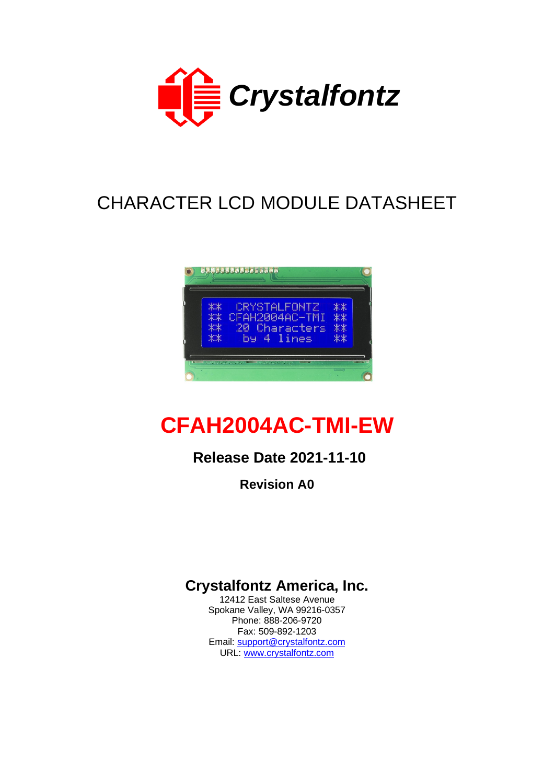

# CHARACTER LCD MODULE DATASHEET



# **CFAH2004AC-TMI-EW**

# **Release Date 2021-11-10**

**Revision A0**

# **Crystalfontz America, Inc.**

12412 East Saltese Avenue Spokane Valley, WA 99216-0357 Phone: 888-206-9720 Fax: 509-892-1203 Email: [support@crystalfontz.com](mailto:support@crystalfontz.com) URL: [www.crystalfontz.com](http://www.crystalfontz.com/)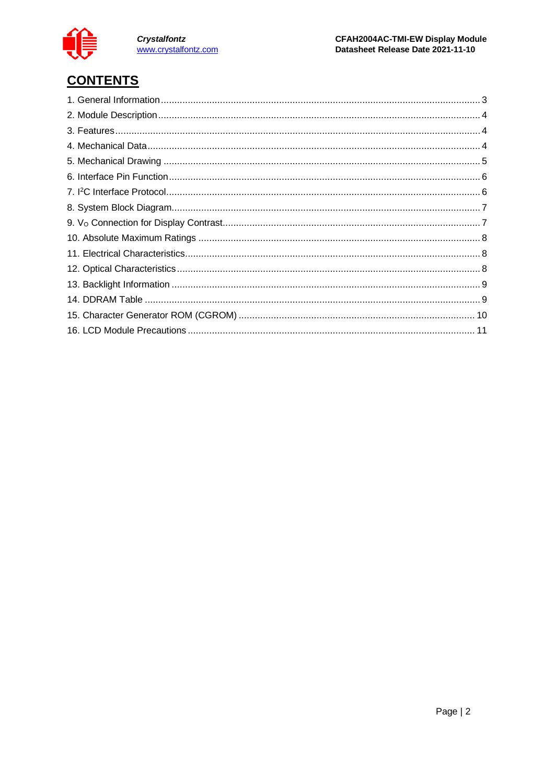

Crystalfontz<br>www.crystalfontz.com

# **CONTENTS**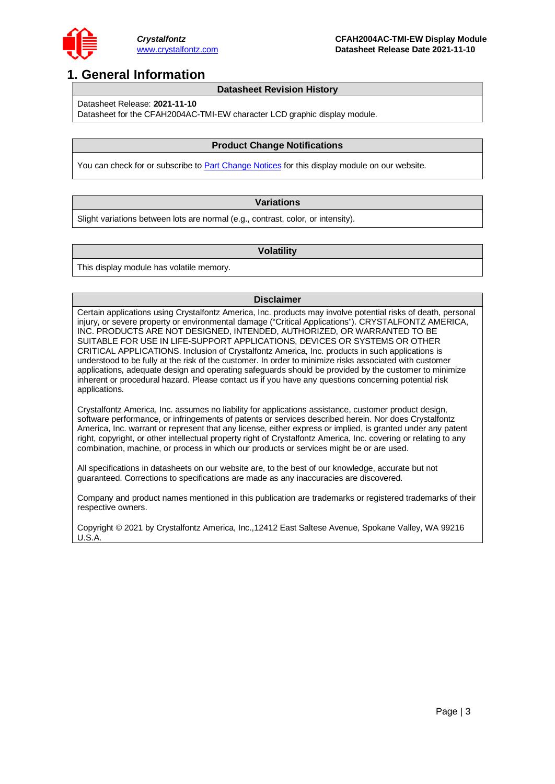

### <span id="page-2-0"></span>**1. General Information**

#### **Datasheet Revision History**

Datasheet Release: **2021-11-10**

Datasheet for the CFAH2004AC-TMI-EW character LCD graphic display module.

#### **Product Change Notifications**

You can check for or subscribe to **Part Change Notices** for this display module on our website.

#### **Variations**

Slight variations between lots are normal (e.g., contrast, color, or intensity).

#### **Volatility**

This display module has volatile memory.

#### **Disclaimer**

Certain applications using Crystalfontz America, Inc. products may involve potential risks of death, personal injury, or severe property or environmental damage ("Critical Applications"). CRYSTALFONTZ AMERICA, INC. PRODUCTS ARE NOT DESIGNED, INTENDED, AUTHORIZED, OR WARRANTED TO BE SUITABLE FOR USE IN LIFE-SUPPORT APPLICATIONS, DEVICES OR SYSTEMS OR OTHER CRITICAL APPLICATIONS. Inclusion of Crystalfontz America, Inc. products in such applications is understood to be fully at the risk of the customer. In order to minimize risks associated with customer applications, adequate design and operating safeguards should be provided by the customer to minimize inherent or procedural hazard. Please contact us if you have any questions concerning potential risk applications.

Crystalfontz America, Inc. assumes no liability for applications assistance, customer product design, software performance, or infringements of patents or services described herein. Nor does Crystalfontz America, Inc. warrant or represent that any license, either express or implied, is granted under any patent right, copyright, or other intellectual property right of Crystalfontz America, Inc. covering or relating to any combination, machine, or process in which our products or services might be or are used.

All specifications in datasheets on our website are, to the best of our knowledge, accurate but not guaranteed. Corrections to specifications are made as any inaccuracies are discovered.

Company and product names mentioned in this publication are trademarks or registered trademarks of their respective owners.

Copyright © 2021 by Crystalfontz America, Inc.,12412 East Saltese Avenue, Spokane Valley, WA 99216 U.S.A.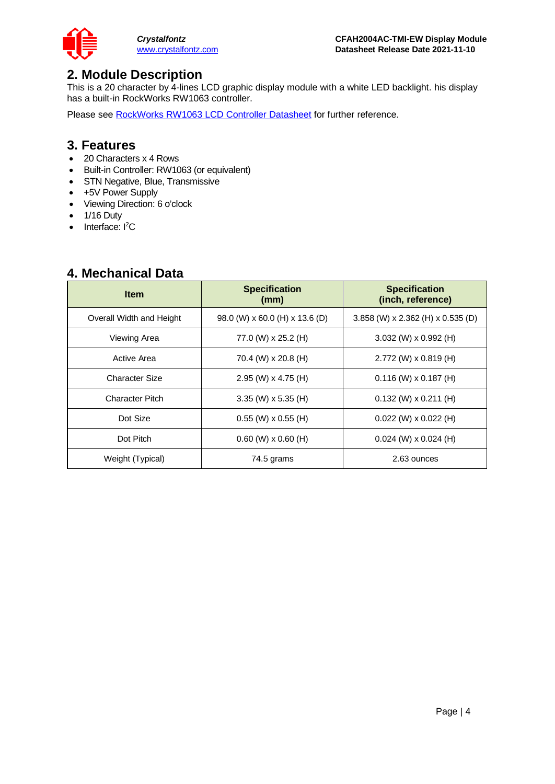

### <span id="page-3-0"></span>**2. Module Description**

This is a 20 character by 4-lines LCD graphic display module with a white LED backlight. his display has a built-in RockWorks RW1063 controller.

Please see [RockWorks RW1063 LCD Controller Datasheet](https://www.crystalfontz.com/controllers/RockWorks/RW1063-0B-002/) for further reference.

#### <span id="page-3-1"></span>**3. Features**

- 20 Characters x 4 Rows
- Built-in Controller: RW1063 (or equivalent)
- STN Negative, Blue, Transmissive
- +5V Power Supply
- Viewing Direction: 6 o'clock
- 1/16 Duty
- Interface: I<sup>2</sup>C

### <span id="page-3-2"></span>**4. Mechanical Data**

| <b>Item</b>              | <b>Specification</b><br>(mm)   | <b>Specification</b><br>(inch, reference) |  |  |  |  |
|--------------------------|--------------------------------|-------------------------------------------|--|--|--|--|
| Overall Width and Height | 98.0 (W) x 60.0 (H) x 13.6 (D) | $3.858$ (W) x 2.362 (H) x 0.535 (D)       |  |  |  |  |
| Viewing Area             | 77.0 (W) x 25.2 (H)            | $3.032$ (W) x 0.992 (H)                   |  |  |  |  |
| Active Area              | 70.4 (W) x 20.8 (H)            | $2.772$ (W) x 0.819 (H)                   |  |  |  |  |
| <b>Character Size</b>    | 2.95 (W) $\times$ 4.75 (H)     | $0.116$ (W) x 0.187 (H)                   |  |  |  |  |
| <b>Character Pitch</b>   | $3.35$ (W) x 5.35 (H)          | $0.132$ (W) x 0.211 (H)                   |  |  |  |  |
| Dot Size                 | $0.55$ (W) x $0.55$ (H)        | $0.022$ (W) x $0.022$ (H)                 |  |  |  |  |
| Dot Pitch                | $0.60$ (W) $\times$ 0.60 (H)   | $0.024$ (W) x 0.024 (H)                   |  |  |  |  |
| Weight (Typical)         | 74.5 grams                     | 2.63 ounces                               |  |  |  |  |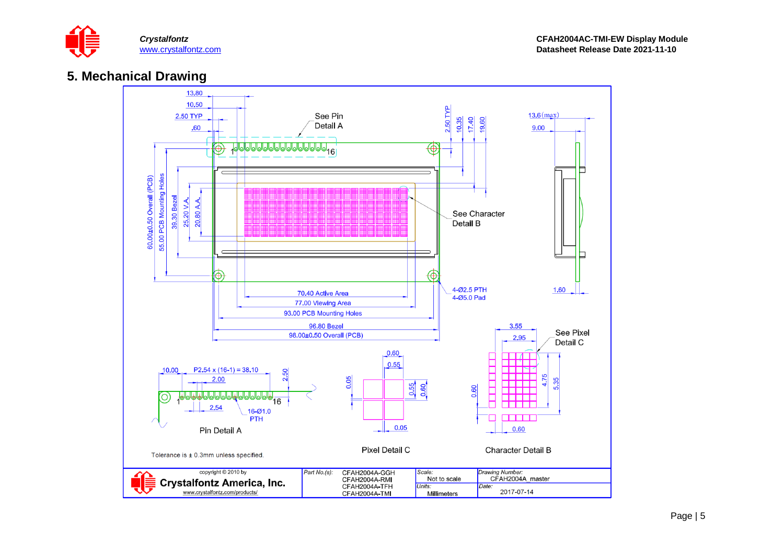

### **5. Mechanical Drawing**

<span id="page-4-0"></span>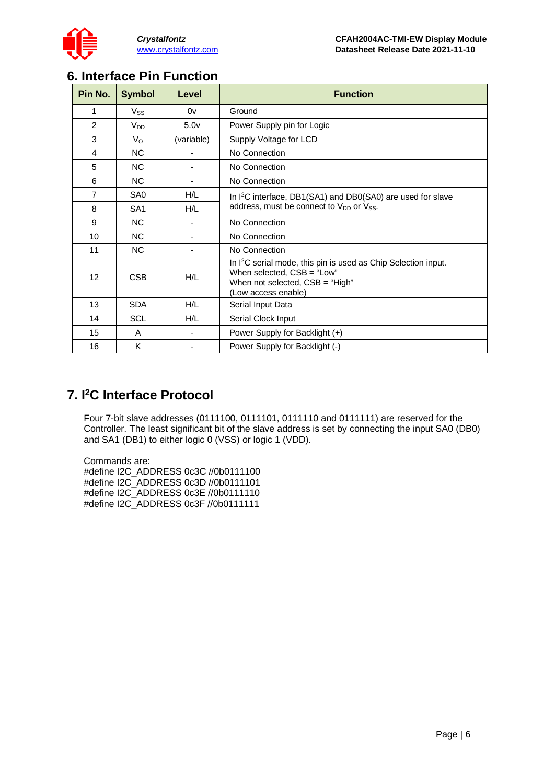

### <span id="page-5-0"></span>**6. Interface Pin Function**

| Pin No. | <b>Symbol</b>   | Level            | <b>Function</b>                                                                                                                                                      |
|---------|-----------------|------------------|----------------------------------------------------------------------------------------------------------------------------------------------------------------------|
| 1       | $V_{SS}$        | 0v               | Ground                                                                                                                                                               |
| 2       | $V_{DD}$        | 5.0 <sub>v</sub> | Power Supply pin for Logic                                                                                                                                           |
| 3       | Vo              | (variable)       | Supply Voltage for LCD                                                                                                                                               |
| 4       | <b>NC</b>       |                  | No Connection                                                                                                                                                        |
| 5       | <b>NC</b>       |                  | No Connection                                                                                                                                                        |
| 6       | <b>NC</b>       |                  | No Connection                                                                                                                                                        |
| 7       | SA <sub>0</sub> | H/L              | In $I^2C$ interface, DB1(SA1) and DB0(SA0) are used for slave                                                                                                        |
| 8       | SA <sub>1</sub> | H/L              | address, must be connect to $V_{DD}$ or $V_{SS}$ .                                                                                                                   |
| 9       | NC.             |                  | No Connection                                                                                                                                                        |
| 10      | <b>NC</b>       |                  | No Connection                                                                                                                                                        |
| 11      | NC.             |                  | No Connection                                                                                                                                                        |
| 12      | <b>CSB</b>      | H/L              | In I <sup>2</sup> C serial mode, this pin is used as Chip Selection input.<br>When selected, CSB = "Low"<br>When not selected, $CSB = "High"$<br>(Low access enable) |
| 13      | <b>SDA</b>      | H/L              | Serial Input Data                                                                                                                                                    |
| 14      | <b>SCL</b>      | H/L              | Serial Clock Input                                                                                                                                                   |
| 15      | A               |                  | Power Supply for Backlight (+)                                                                                                                                       |
| 16      | K               |                  | Power Supply for Backlight (-)                                                                                                                                       |

# <span id="page-5-1"></span>**7. I 2C Interface Protocol**

Four 7-bit slave addresses (0111100, 0111101, 0111110 and 0111111) are reserved for the Controller. The least significant bit of the slave address is set by connecting the input SA0 (DB0) and SA1 (DB1) to either logic 0 (VSS) or logic 1 (VDD).

Commands are: #define I2C\_ADDRESS 0c3C //0b0111100 #define I2C\_ADDRESS 0c3D //0b0111101 #define I2C\_ADDRESS 0c3E //0b0111110 #define I2C\_ADDRESS 0c3F //0b0111111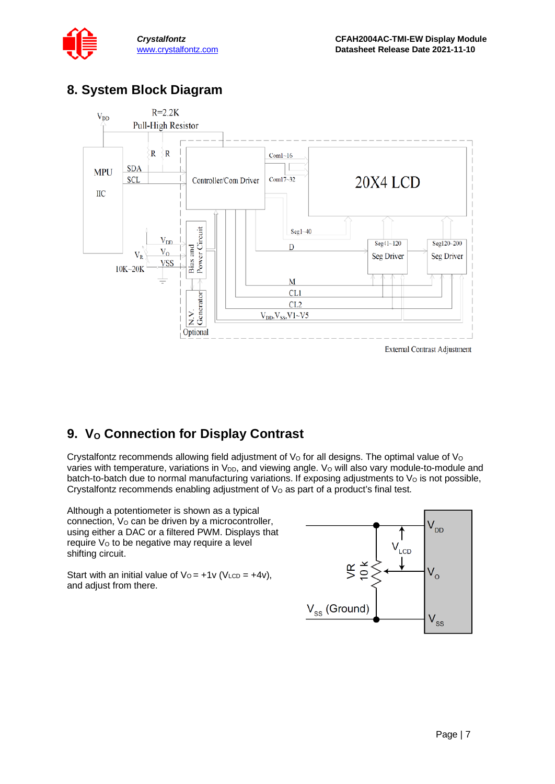### <span id="page-6-0"></span>**8. System Block Diagram**



# <span id="page-6-1"></span>**9. V<sub>o</sub>** Connection for Display Contrast

Crystalfontz recommends allowing field adjustment of  $V<sub>O</sub>$  for all designs. The optimal value of  $V<sub>O</sub>$ varies with temperature, variations in V<sub>DD</sub>, and viewing angle. V<sub>o</sub> will also vary module-to-module and batch-to-batch due to normal manufacturing variations. If exposing adjustments to  $V<sub>O</sub>$  is not possible, Crystalfontz recommends enabling adjustment of  $V<sub>O</sub>$  as part of a product's final test.

Although a potentiometer is shown as a typical connection,  $V<sub>O</sub>$  can be driven by a microcontroller, using either a DAC or a filtered PWM. Displays that require V<sub>o</sub> to be negative may require a level shifting circuit.

Start with an initial value of  $V_0 = +1v$  (V<sub>LCD</sub> =  $+4v$ ), and adjust from there.

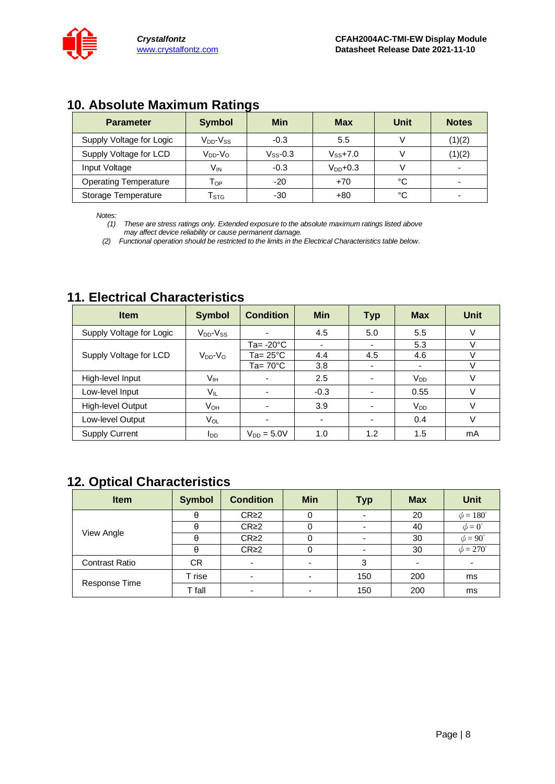### <span id="page-7-0"></span>**10. Absolute Maximum Ratings**

| <b>Parameter</b>             | <b>Symbol</b>                   | <b>Min</b>    | <b>Max</b>    | Unit | <b>Notes</b> |
|------------------------------|---------------------------------|---------------|---------------|------|--------------|
| Supply Voltage for Logic     | $V_{DD}$ - $V_{SS}$             | $-0.3$        | 5.5           |      | (1)(2)       |
| Supply Voltage for LCD       | V <sub>DD</sub> -V <sub>o</sub> | $V_{SS}$ -0.3 | $V_{SS}$ +7.0 |      | (1)(2)       |
| Input Voltage                | $V_{\mathsf{IN}}$               | $-0.3$        | $V_{DD}$ +0.3 |      | -            |
| <b>Operating Temperature</b> | Тор                             | $-20$         | $+70$         | °C   |              |
| Storage Temperature          | $\mathsf{T}_{\texttt{STG}}$     | $-30$         | $+80$         | °C   | -            |

*Notes:*

*(1) These are stress ratings only. Extended exposure to the absolute maximum ratings listed above may affect device reliability or cause permanent damage.* 

*(2) Functional operation should be restricted to the limits in the Electrical Characteristics table below.*

### <span id="page-7-1"></span>**11. Electrical Characteristics**

| <b>Item</b>              | <b>Symbol</b>       | <b>Condition</b>         | <b>Min</b>     | <b>Typ</b>               | <b>Max</b>            | <b>Unit</b> |
|--------------------------|---------------------|--------------------------|----------------|--------------------------|-----------------------|-------------|
| Supply Voltage for Logic | $V_{DD}$ - $V_{SS}$ |                          | 4.5            | 5.0                      | 5.5                   | $\vee$      |
|                          |                     | Ta= -20°C                | $\blacksquare$ | $\blacksquare$           | 5.3                   |             |
| Supply Voltage for LCD   | $V_{DD}$ - $V_{O}$  | Ta= 25°C                 | 4.4            | 4.5                      | 4.6                   |             |
|                          |                     | Ta= $70^{\circ}$ C       | 3.8            |                          | -                     | v           |
| High-level Input         | V <sub>IH</sub>     |                          | 2.5            |                          | <b>V<sub>DD</sub></b> | v           |
| Low-level Input          | VIL                 |                          | $-0.3$         |                          | 0.55                  | V           |
| High-level Output        | V <sub>OH</sub>     |                          | 3.9            |                          | <b>V<sub>DD</sub></b> | V           |
| Low-level Output         | Vol                 | $\overline{\phantom{0}}$ | $\blacksquare$ | $\overline{\phantom{a}}$ | 0.4                   |             |
| <b>Supply Current</b>    | $I_{DD}$            | $V_{DD} = 5.0V$          | 1.0            | 1.2                      | 1.5                   | mA          |

# <span id="page-7-2"></span>**12. Optical Characteristics**

| <b>Item</b>           | <b>Symbol</b> | <b>Condition</b>         | <b>Min</b>               | <b>Typ</b> | <b>Max</b> | <b>Unit</b>        |
|-----------------------|---------------|--------------------------|--------------------------|------------|------------|--------------------|
|                       | θ             | CR <sub>2</sub>          | 0                        |            | 20         | $\phi = 180^\circ$ |
|                       | A             | CR <sub>2</sub>          | 0                        |            | 40         | $\phi = 0^{\circ}$ |
| View Angle            | $\theta$      | CR <sub>2</sub>          |                          |            | 30         | $\phi = 90^\circ$  |
|                       | θ             | CR <sub>2</sub>          | 0                        |            | 30         | $\phi = 270^\circ$ |
| <b>Contrast Ratio</b> | <b>CR</b>     | $\blacksquare$           | $\overline{\phantom{0}}$ | 3          | ۰          |                    |
|                       | T rise        | $\overline{\phantom{0}}$ |                          | 150        | 200        | ms                 |
| Response Time         | T fall        | $\overline{\phantom{0}}$ |                          | 150        | 200        | ms                 |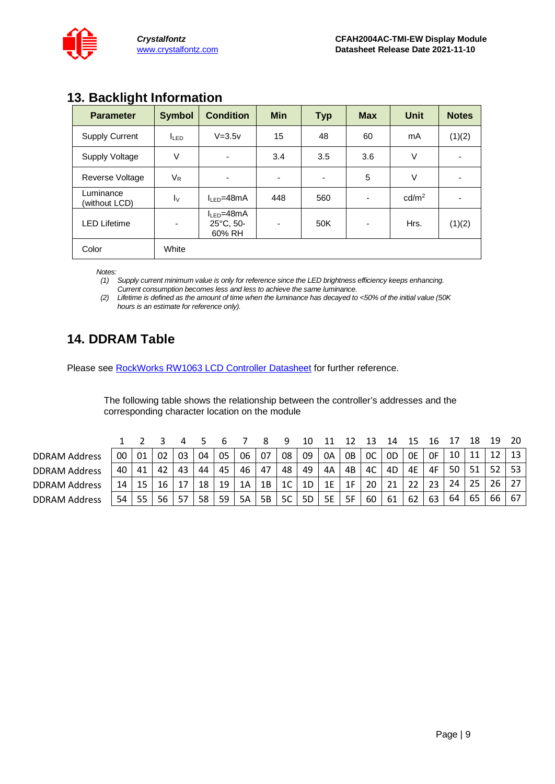

### <span id="page-8-0"></span>**13. Backlight Information**

| $\tilde{\phantom{a}}$<br><b>Parameter</b> | <b>Symbol</b>            | <b>Condition</b>                        | <b>Min</b> | <b>Typ</b> | <b>Max</b>               | Unit              | <b>Notes</b> |
|-------------------------------------------|--------------------------|-----------------------------------------|------------|------------|--------------------------|-------------------|--------------|
| <b>Supply Current</b>                     | I <sub>LED</sub>         | $V = 3.5v$                              | 15         | 48         | 60                       | mA                | (1)(2)       |
| Supply Voltage                            | V                        | $\blacksquare$                          | 3.4        | 3.5        | 3.6                      | V                 | -            |
| <b>Reverse Voltage</b>                    | $V_{R}$                  | $\overline{\phantom{a}}$                | -          | ۰          | 5                        | V                 | ۰            |
| Luminance<br>(without LCD)                | $I_{\rm V}$              | $IIFD=48mA$                             | 448        | 560        | $\overline{\phantom{a}}$ | cd/m <sup>2</sup> |              |
| <b>LED Lifetime</b>                       | $\overline{\phantom{a}}$ | $I_{LED} = 48mA$<br>25°C, 50-<br>60% RH |            | 50K        | $\overline{\phantom{a}}$ | Hrs.              | (1)(2)       |
| Color                                     | White                    |                                         |            |            |                          |                   |              |

*Notes:* 

*(1) Supply current minimum value is only for reference since the LED brightness efficiency keeps enhancing. Current consumption becomes less and less to achieve the same luminance.* 

*(2) Lifetime is defined as the amount of time when the luminance has decayed to <50% of the initial value (50K hours is an estimate for reference only).*

# <span id="page-8-1"></span>**14. DDRAM Table**

Please see [RockWorks RW1063 LCD Controller Datasheet](https://www.crystalfontz.com/controllers/RockWorks/RW1063-0B-002/) for further reference.

The following table shows the relationship between the controller's addresses and the corresponding character location on the module

|                      |    |    |    |     |    |    |    |    | ч              |    |           |    |                | 14 |    |    |    |    | 19 | 20              |
|----------------------|----|----|----|-----|----|----|----|----|----------------|----|-----------|----|----------------|----|----|----|----|----|----|-----------------|
| <b>DDRAM Address</b> | 00 | 01 | 02 | 03  | 04 | 05 | 06 | 07 | 08             | 09 | 0A        | 0B | <sub>0</sub> C | 0D | 0E | 0F | 10 |    | 12 | 13 <sup>1</sup> |
| <b>DDRAM Address</b> | 40 | 41 | 42 | 43  | 44 | 45 | 46 | 47 | 48             | 49 | 4A        | 4B | 4C             | 4D | 4E | 4F | 50 | 51 | 52 | 53 <sub>1</sub> |
| <b>DDRAM Address</b> | 14 | 15 | 16 |     | 18 | 19 | 1A | 1B | 1 <sup>C</sup> | 1D | 1E        | 1F | 20             | 21 | 22 | 23 | 24 | 25 | 26 | 27 <sup>1</sup> |
| <b>DDRAM Address</b> | 54 | 55 | 56 | -57 | 58 | 59 | 5A | 5B | 5C             | 5D | <b>5E</b> | 5F | 60             | 61 | 62 | 63 | 64 | 65 | 66 | 67 I            |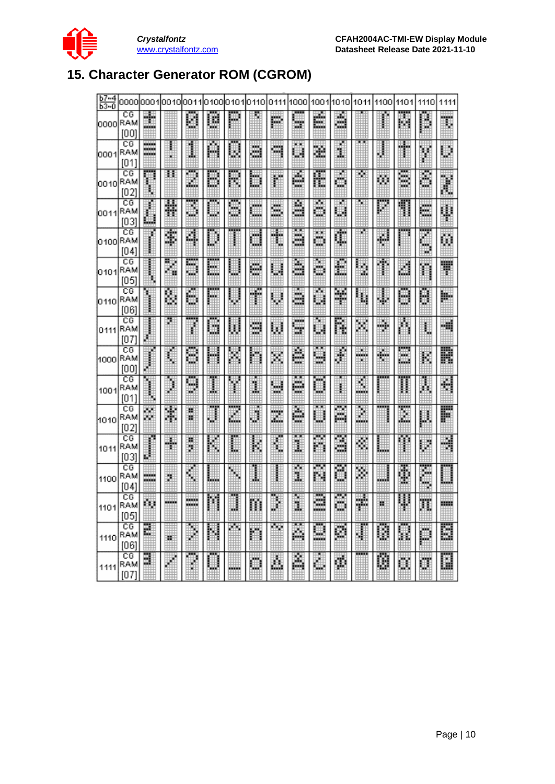

# <span id="page-9-0"></span>**15. Character Generator ROM (CGROM)**

| $b7 - 4$<br>$b3-0$ |                   | 0000l0001l0010l0011 |        |          | 0100        |         | 01010110           | 0111    | 1000     | 1001                          | 1010   | 1011     | 1100  | 1101    | 1110    | 1111 |
|--------------------|-------------------|---------------------|--------|----------|-------------|---------|--------------------|---------|----------|-------------------------------|--------|----------|-------|---------|---------|------|
| 0000 RAM           | СG<br>[00]        | İ                   |        | U        | U,          |         |                    | pá      | W.       | É.                            | å      |          |       | B.      | Ď       | F,   |
| 0001               | CG<br>RAM<br>[01] | ≣                   | š<br>w | 1        | A           | W       | ä                  | Ħ       | ×х<br>U) | ä.                            | ä,     |          |       | t       | Y       | Ψ    |
| 0010               | CG<br>RAM<br>[02] | ф                   | π      | g        | D           | K       | D                  | ļ.      | é        | Æ                             | ö      | r.       | ω     | B       | ê,      | ł    |
| 0011               | CG<br>RAM<br>[03] | L.                  | H      | 3        | m<br>щ      | 8       | <b>MARK</b><br>łщ, | E       | 9        | A                             | ×<br>Щ |          | П     | 1       | €       | H    |
| 0100RAM            | CG<br>[04]        |                     | 團      | 4        | $_{\oplus}$ |         | ü                  | t       | œ<br>ä   | H                             | ¢      |          | ÷     |         | G<br>×. | ij,  |
| 0101               | CG<br>RAM<br>[05] |                     | R<br>× | вщ<br>φÅ | üк<br>h.    |         | ÷                  | U       | ā        | H                             | £      | ÿ,       | 戸     | U       | n       | Ħ    |
| 0110               | CG<br>RAM<br>[06] |                     | 闥      | ۸        | <br>哪       | U       | Ť                  | U       | ā        | ≂<br>U.                       | ¥      | ų        | J.    | U       | U       | W.   |
| 0111               | CG<br>RAM<br>[07] |                     | o.     | ľ        | ē           | U       | 9                  | Ø       | ××<br>u, | hщ<br>ψä                      | ļ.     | Þ.       | ÷     | Ā       | ŧ       | ٠Ħ   |
| 1000               | СG<br>RAM<br>[00] |                     | ij     | Ξ        | H           | Ä       | h.                 | X       | ē        | π<br>V                        | ă.     | ш,<br>S. | ♠     | 靊<br>üЗ | k,      | R    |
| 1001               | СG<br>RAM<br>[01] |                     | j      | 9        | I           | Y       | Ĵ,                 | U       | ē        | Ü                             | Ï      | Ľ,       |       | Π       | Ā       | 쉮    |
| 1010               | СG<br>RAM<br>[02] | w.<br>w             | ¥      | 瓽<br>w   | J           | m<br>Ľ, | U                  | mp<br>跪 | ë        | $\overline{\phantom{a}}$<br>Ш | Ã      | Ž        |       | I       | g,      | F    |
| 1011               | CG<br>RAM<br>[03] |                     | H.     | 猟<br>ij. | K           | E       | k                  | ī       | ņв,<br>Ï | ×<br>m                        | ē      | š        | a.    | 麛       | U.      | J.   |
| 1100               | CG<br>RAM<br>[04] | <b>Bitte</b>        | ä      | Ë        | tin,        | H       | l                  |         | I        | w<br>m                        | õ      | Þ,       | ana a | Ī       | č       |      |
| 1101               | CG<br>RAM<br>[05] | h.                  | œ      | =        | Ħ           | J       | m                  | J       | ×<br>U,  | ē                             | ā      | ÷        | ×     | Ļ       | Ħ       | m    |
| 1110               | СG<br>RAM<br>[06] | E                   | ×      | J        | H           | ×.      | n                  | Гщ.     | Ä,       | H.                            | Ø      | ä        | U     | W       | D       | B    |
| 1111               | СG<br>RAM<br>[07] | E                   |        |          |             | ww.     |                    | Ä.      | Â        |                               | φ      |          | Ø     | Ü,      | Ū       | H    |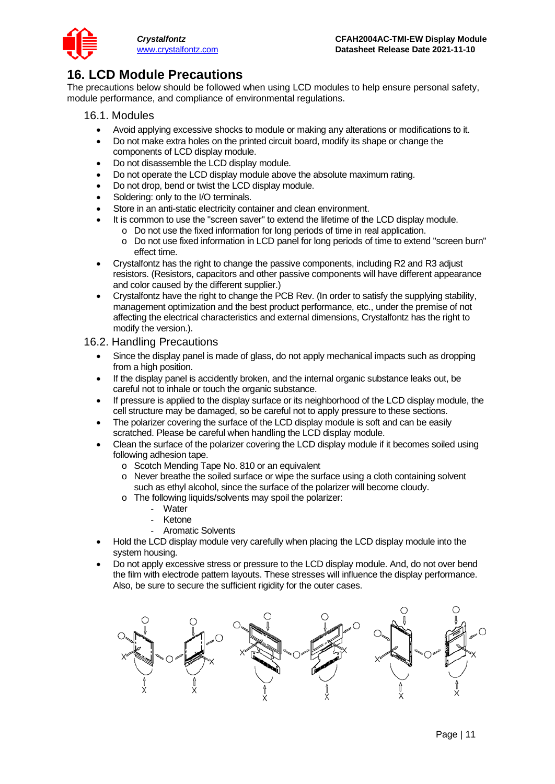

### <span id="page-10-0"></span>**16. LCD Module Precautions**

The precautions below should be followed when using LCD modules to help ensure personal safety, module performance, and compliance of environmental regulations.

- 16.1. Modules
	- Avoid applying excessive shocks to module or making any alterations or modifications to it.
	- Do not make extra holes on the printed circuit board, modify its shape or change the components of LCD display module.
	- Do not disassemble the LCD display module.
	- Do not operate the LCD display module above the absolute maximum rating.
	- Do not drop, bend or twist the LCD display module.
	- Soldering: only to the I/O terminals.
	- Store in an anti-static electricity container and clean environment.
	- It is common to use the "screen saver" to extend the lifetime of the LCD display module.
		- o Do not use the fixed information for long periods of time in real application.
		- o Do not use fixed information in LCD panel for long periods of time to extend "screen burn" effect time.
	- Crystalfontz has the right to change the passive components, including R2 and R3 adjust resistors. (Resistors, capacitors and other passive components will have different appearance and color caused by the different supplier.)
	- Crystalfontz have the right to change the PCB Rev. (In order to satisfy the supplying stability, management optimization and the best product performance, etc., under the premise of not affecting the electrical characteristics and external dimensions, Crystalfontz has the right to modify the version.).

#### 16.2. Handling Precautions

- Since the display panel is made of glass, do not apply mechanical impacts such as dropping from a high position.
- If the display panel is accidently broken, and the internal organic substance leaks out, be careful not to inhale or touch the organic substance.
- If pressure is applied to the display surface or its neighborhood of the LCD display module, the cell structure may be damaged, so be careful not to apply pressure to these sections.
- The polarizer covering the surface of the LCD display module is soft and can be easily scratched. Please be careful when handling the LCD display module.
- Clean the surface of the polarizer covering the LCD display module if it becomes soiled using following adhesion tape.
	- o Scotch Mending Tape No. 810 or an equivalent
	- o Never breathe the soiled surface or wipe the surface using a cloth containing solvent such as ethyl alcohol, since the surface of the polarizer will become cloudy.
	- o The following liquids/solvents may spoil the polarizer:
		- **Water**
		- **Ketone**
		- Aromatic Solvents
- Hold the LCD display module very carefully when placing the LCD display module into the system housing.
- Do not apply excessive stress or pressure to the LCD display module. And, do not over bend the film with electrode pattern layouts. These stresses will influence the display performance. Also, be sure to secure the sufficient rigidity for the outer cases.

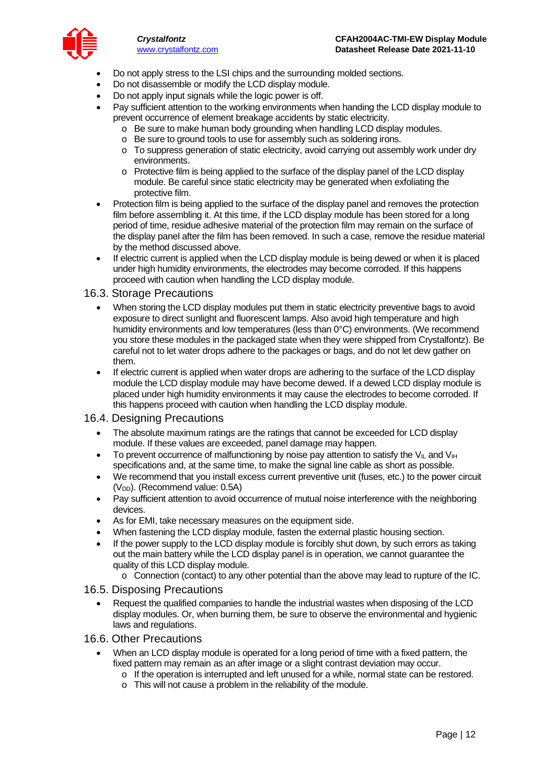

- Do not apply stress to the LSI chips and the surrounding molded sections.
- Do not disassemble or modify the LCD display module.
- Do not apply input signals while the logic power is off.
- Pay sufficient attention to the working environments when handing the LCD display module to prevent occurrence of element breakage accidents by static electricity.
	- o Be sure to make human body grounding when handling LCD display modules.
	- o Be sure to ground tools to use for assembly such as soldering irons.
	- o To suppress generation of static electricity, avoid carrying out assembly work under dry environments.
	- o Protective film is being applied to the surface of the display panel of the LCD display module. Be careful since static electricity may be generated when exfoliating the protective film.
- Protection film is being applied to the surface of the display panel and removes the protection film before assembling it. At this time, if the LCD display module has been stored for a long period of time, residue adhesive material of the protection film may remain on the surface of the display panel after the film has been removed. In such a case, remove the residue material by the method discussed above.
- If electric current is applied when the LCD display module is being dewed or when it is placed under high humidity environments, the electrodes may become corroded. If this happens proceed with caution when handling the LCD display module.

#### 16.3. Storage Precautions

- When storing the LCD display modules put them in static electricity preventive bags to avoid exposure to direct sunlight and fluorescent lamps. Also avoid high temperature and high humidity environments and low temperatures (less than 0°C) environments. (We recommend you store these modules in the packaged state when they were shipped from Crystalfontz). Be careful not to let water drops adhere to the packages or bags, and do not let dew gather on them.
- If electric current is applied when water drops are adhering to the surface of the LCD display module the LCD display module may have become dewed. If a dewed LCD display module is placed under high humidity environments it may cause the electrodes to become corroded. If this happens proceed with caution when handling the LCD display module.

#### 16.4. Designing Precautions

- The absolute maximum ratings are the ratings that cannot be exceeded for LCD display module. If these values are exceeded, panel damage may happen.
- To prevent occurrence of malfunctioning by noise pay attention to satisfy the  $V_{II}$  and  $V_{IH}$ specifications and, at the same time, to make the signal line cable as short as possible.
- We recommend that you install excess current preventive unit (fuses, etc.) to the power circuit (V<sub>DD</sub>). (Recommend value: 0.5A)
- Pay sufficient attention to avoid occurrence of mutual noise interference with the neighboring devices.
- As for EMI, take necessary measures on the equipment side.
- When fastening the LCD display module, fasten the external plastic housing section.
- If the power supply to the LCD display module is forcibly shut down, by such errors as taking out the main battery while the LCD display panel is in operation, we cannot guarantee the quality of this LCD display module.
	- o Connection (contact) to any other potential than the above may lead to rupture of the IC.

#### 16.5. Disposing Precautions

• Request the qualified companies to handle the industrial wastes when disposing of the LCD display modules. Or, when burning them, be sure to observe the environmental and hygienic laws and regulations.

#### 16.6. Other Precautions

- When an LCD display module is operated for a long period of time with a fixed pattern, the fixed pattern may remain as an after image or a slight contrast deviation may occur.
	- $\circ$  If the operation is interrupted and left unused for a while, normal state can be restored.
	- o This will not cause a problem in the reliability of the module.